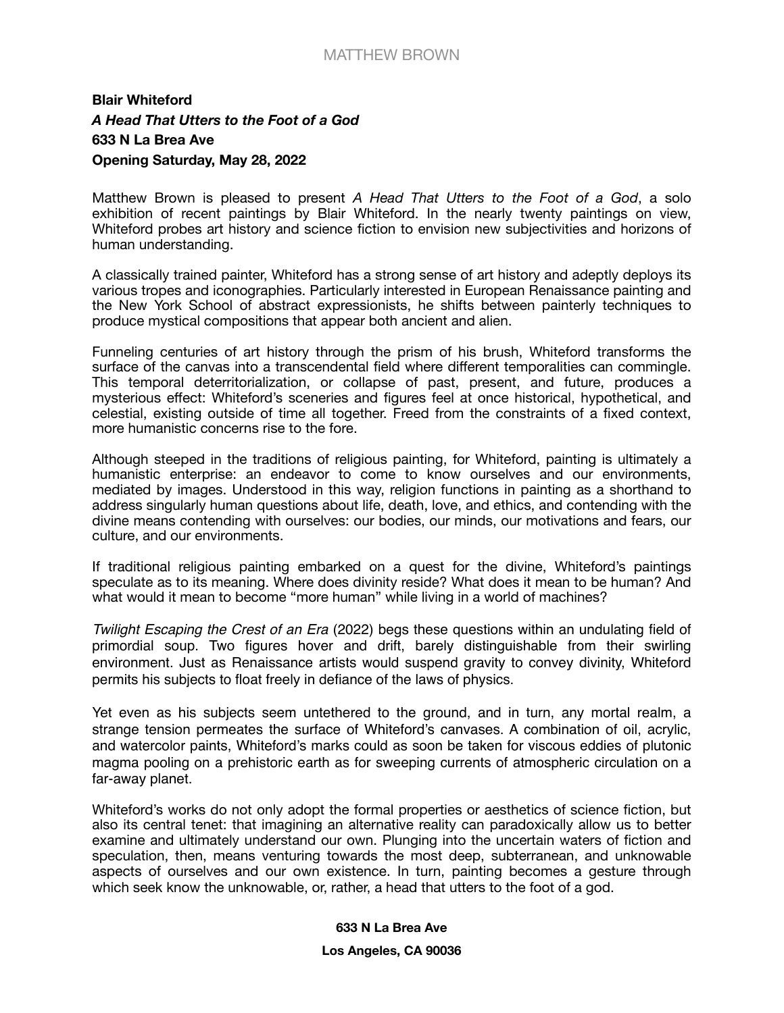## MATTHEW BROWN

## **Blair Whiteford**  *A Head That Utters to the Foot of a God*  **633 N La Brea Ave Opening Saturday, May 28, 2022**

Matthew Brown is pleased to present *A Head That Utters to the Foot of a God*, a solo exhibition of recent paintings by Blair Whiteford. In the nearly twenty paintings on view, Whiteford probes art history and science fiction to envision new subjectivities and horizons of human understanding.

A classically trained painter, Whiteford has a strong sense of art history and adeptly deploys its various tropes and iconographies. Particularly interested in European Renaissance painting and the New York School of abstract expressionists, he shifts between painterly techniques to produce mystical compositions that appear both ancient and alien.

Funneling centuries of art history through the prism of his brush, Whiteford transforms the surface of the canvas into a transcendental field where different temporalities can commingle. This temporal deterritorialization, or collapse of past, present, and future, produces a mysterious effect: Whiteford's sceneries and figures feel at once historical, hypothetical, and celestial, existing outside of time all together. Freed from the constraints of a fixed context, more humanistic concerns rise to the fore.

Although steeped in the traditions of religious painting, for Whiteford, painting is ultimately a humanistic enterprise: an endeavor to come to know ourselves and our environments, mediated by images. Understood in this way, religion functions in painting as a shorthand to address singularly human questions about life, death, love, and ethics, and contending with the divine means contending with ourselves: our bodies, our minds, our motivations and fears, our culture, and our environments.

If traditional religious painting embarked on a quest for the divine, Whiteford's paintings speculate as to its meaning. Where does divinity reside? What does it mean to be human? And what would it mean to become "more human" while living in a world of machines?

*Twilight Escaping the Crest of an Era* (2022) begs these questions within an undulating field of primordial soup. Two figures hover and drift, barely distinguishable from their swirling environment. Just as Renaissance artists would suspend gravity to convey divinity, Whiteford permits his subjects to float freely in defiance of the laws of physics.

Yet even as his subjects seem untethered to the ground, and in turn, any mortal realm, a strange tension permeates the surface of Whiteford's canvases. A combination of oil, acrylic, and watercolor paints, Whiteford's marks could as soon be taken for viscous eddies of plutonic magma pooling on a prehistoric earth as for sweeping currents of atmospheric circulation on a far-away planet.

Whiteford's works do not only adopt the formal properties or aesthetics of science fiction, but also its central tenet: that imagining an alternative reality can paradoxically allow us to better examine and ultimately understand our own. Plunging into the uncertain waters of fiction and speculation, then, means venturing towards the most deep, subterranean, and unknowable aspects of ourselves and our own existence. In turn, painting becomes a gesture through which seek know the unknowable, or, rather, a head that utters to the foot of a god.